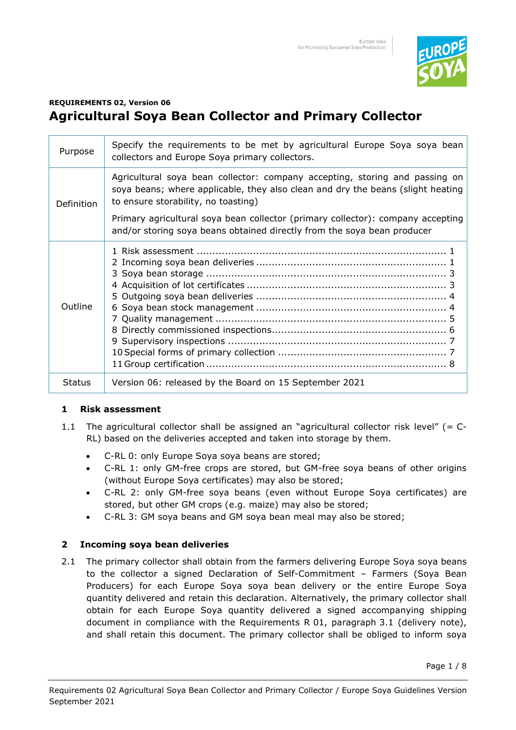

# **REQUIREMENTS 02, Version 06 Agricultural Soya Bean Collector and Primary Collector**

| Purpose       | Specify the requirements to be met by agricultural Europe Soya soya bean<br>collectors and Europe Soya primary collectors.                                                                            |
|---------------|-------------------------------------------------------------------------------------------------------------------------------------------------------------------------------------------------------|
| Definition    | Agricultural soya bean collector: company accepting, storing and passing on<br>soya beans; where applicable, they also clean and dry the beans (slight heating<br>to ensure storability, no toasting) |
|               | Primary agricultural soya bean collector (primary collector): company accepting<br>and/or storing soya beans obtained directly from the soya bean producer                                            |
| Outline       |                                                                                                                                                                                                       |
| <b>Status</b> | Version 06: released by the Board on 15 September 2021                                                                                                                                                |

## **1 Risk assessment**

- 1.1 The agricultural collector shall be assigned an "agricultural collector risk level" (= C-RL) based on the deliveries accepted and taken into storage by them.
	- C-RL 0: only Europe Soya soya beans are stored;
	- C-RL 1: only GM-free crops are stored, but GM-free soya beans of other origins (without Europe Soya certificates) may also be stored;
	- C-RL 2: only GM-free soya beans (even without Europe Soya certificates) are stored, but other GM crops (e.g. maize) may also be stored;
	- C-RL 3: GM soya beans and GM soya bean meal may also be stored;

## **2 Incoming soya bean deliveries**

2.1 The primary collector shall obtain from the farmers delivering Europe Soya soya beans to the collector a signed Declaration of Self-Commitment – Farmers (Soya Bean Producers) for each Europe Soya soya bean delivery or the entire Europe Soya quantity delivered and retain this declaration. Alternatively, the primary collector shall obtain for each Europe Soya quantity delivered a signed accompanying shipping document in compliance with the Requirements R 01, paragraph 3.1 (delivery note), and shall retain this document. The primary collector shall be obliged to inform soya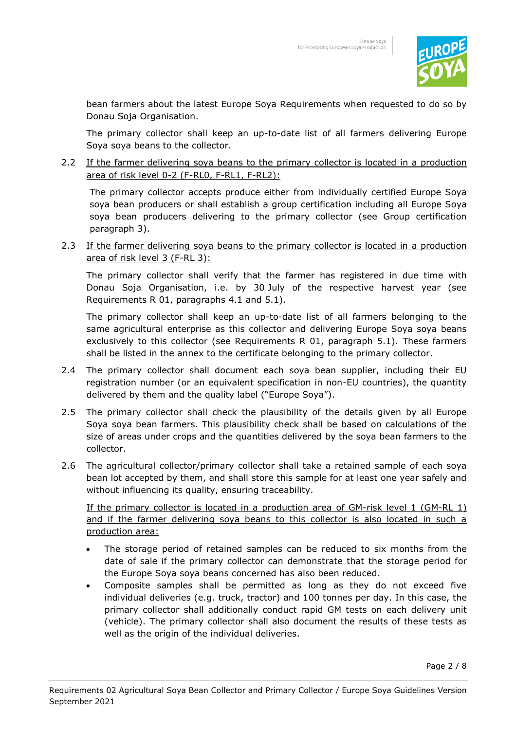

bean farmers about the latest Europe Soya Requirements when requested to do so by Donau Soja Organisation.

The primary collector shall keep an up-to-date list of all farmers delivering Europe Soya soya beans to the collector.

2.2 If the farmer delivering soya beans to the primary collector is located in a production area of risk level 0-2 (F-RL0, F-RL1, F-RL2):

The primary collector accepts produce either from individually certified Europe Soya soya bean producers or shall establish a group certification including all Europe Soya soya bean producers delivering to the primary collector (see Group certification paragraph 3).

2.3 If the farmer delivering soya beans to the primary collector is located in a production area of risk level 3 (F-RL 3):

The primary collector shall verify that the farmer has registered in due time with Donau Soja Organisation, i.e. by 30 July of the respective harvest year (see Requirements R 01, paragraphs 4.1 and 5.1).

The primary collector shall keep an up-to-date list of all farmers belonging to the same agricultural enterprise as this collector and delivering Europe Soya soya beans exclusively to this collector (see Requirements R 01, paragraph 5.1). These farmers shall be listed in the annex to the certificate belonging to the primary collector.

- 2.4 The primary collector shall document each soya bean supplier, including their EU registration number (or an equivalent specification in non-EU countries), the quantity delivered by them and the quality label ("Europe Soya").
- 2.5 The primary collector shall check the plausibility of the details given by all Europe Soya soya bean farmers. This plausibility check shall be based on calculations of the size of areas under crops and the quantities delivered by the soya bean farmers to the collector.
- 2.6 The agricultural collector/primary collector shall take a retained sample of each soya bean lot accepted by them, and shall store this sample for at least one year safely and without influencing its quality, ensuring traceability.

If the primary collector is located in a production area of GM-risk level 1 (GM-RL 1) and if the farmer delivering soya beans to this collector is also located in such a production area:

- The storage period of retained samples can be reduced to six months from the date of sale if the primary collector can demonstrate that the storage period for the Europe Soya soya beans concerned has also been reduced.
- Composite samples shall be permitted as long as they do not exceed five individual deliveries (e.g. truck, tractor) and 100 tonnes per day. In this case, the primary collector shall additionally conduct rapid GM tests on each delivery unit (vehicle). The primary collector shall also document the results of these tests as well as the origin of the individual deliveries.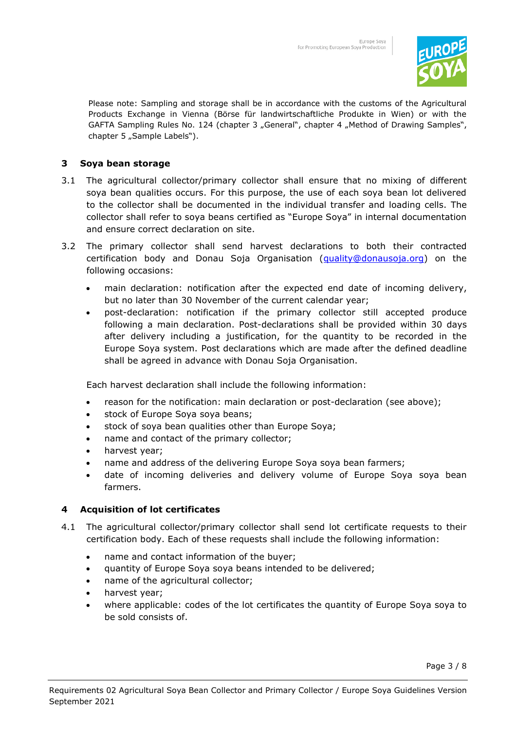

Please note: Sampling and storage shall be in accordance with the customs of the Agricultural Products Exchange in Vienna (Börse für landwirtschaftliche Produkte in Wien) or with the GAFTA Sampling Rules No. 124 (chapter 3 "General", chapter 4 "Method of Drawing Samples", chapter 5 "Sample Labels").

## **3 Soya bean storage**

- 3.1 The agricultural collector/primary collector shall ensure that no mixing of different soya bean qualities occurs. For this purpose, the use of each soya bean lot delivered to the collector shall be documented in the individual transfer and loading cells. The collector shall refer to soya beans certified as "Europe Soya" in internal documentation and ensure correct declaration on site.
- 3.2 The primary collector shall send harvest declarations to both their contracted certification body and Donau Soja Organisation [\(quality@donausoja.org\)](mailto:quality@donausoja.org) on the following occasions:
	- main declaration: notification after the expected end date of incoming delivery, but no later than 30 November of the current calendar year;
	- post-declaration: notification if the primary collector still accepted produce following a main declaration. Post-declarations shall be provided within 30 days after delivery including a justification, for the quantity to be recorded in the Europe Soya system. Post declarations which are made after the defined deadline shall be agreed in advance with Donau Soja Organisation.

Each harvest declaration shall include the following information:

- reason for the notification: main declaration or post-declaration (see above);
- stock of Europe Soya soya beans;
- stock of soya bean qualities other than Europe Soya;
- name and contact of the primary collector;
- harvest year;
- name and address of the delivering Europe Soya soya bean farmers;
- date of incoming deliveries and delivery volume of Europe Soya soya bean farmers.

#### **4 Acquisition of lot certificates**

- 4.1 The agricultural collector/primary collector shall send lot certificate requests to their certification body. Each of these requests shall include the following information:
	- name and contact information of the buyer;
	- quantity of Europe Soya soya beans intended to be delivered;
	- name of the agricultural collector;
	- harvest year;
	- where applicable: codes of the lot certificates the quantity of Europe Soya soya to be sold consists of.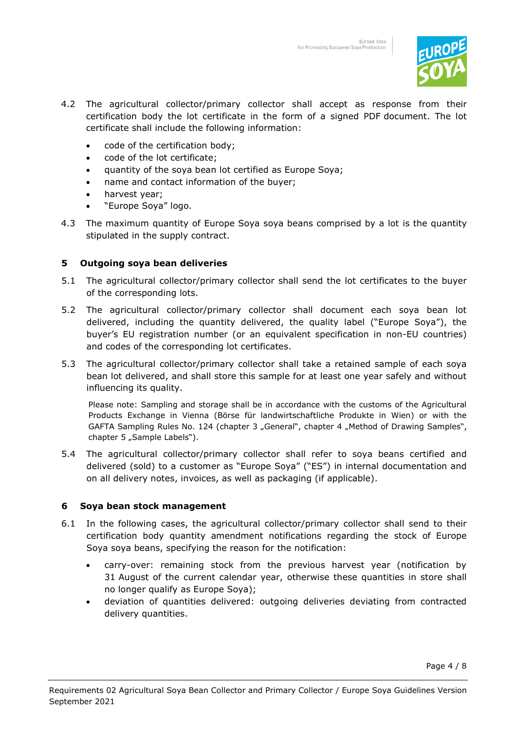

- 4.2 The agricultural collector/primary collector shall accept as response from their certification body the lot certificate in the form of a signed PDF document. The lot certificate shall include the following information:
	- code of the certification body;
	- code of the lot certificate;
	- quantity of the soya bean lot certified as Europe Soya;
	- name and contact information of the buyer;
	- harvest year;
	- "Europe Soya" logo.
- 4.3 The maximum quantity of Europe Soya soya beans comprised by a lot is the quantity stipulated in the supply contract.

### **5 Outgoing soya bean deliveries**

- 5.1 The agricultural collector/primary collector shall send the lot certificates to the buyer of the corresponding lots.
- 5.2 The agricultural collector/primary collector shall document each soya bean lot delivered, including the quantity delivered, the quality label ("Europe Soya"), the buyer's EU registration number (or an equivalent specification in non-EU countries) and codes of the corresponding lot certificates.
- 5.3 The agricultural collector/primary collector shall take a retained sample of each soya bean lot delivered, and shall store this sample for at least one year safely and without influencing its quality.

Please note: Sampling and storage shall be in accordance with the customs of the Agricultural Products Exchange in Vienna (Börse für landwirtschaftliche Produkte in Wien) or with the GAFTA Sampling Rules No. 124 (chapter 3 "General", chapter 4 "Method of Drawing Samples", chapter 5 "Sample Labels").

5.4 The agricultural collector/primary collector shall refer to soya beans certified and delivered (sold) to a customer as "Europe Soya" ("ES") in internal documentation and on all delivery notes, invoices, as well as packaging (if applicable).

#### **6 Soya bean stock management**

- 6.1 In the following cases, the agricultural collector/primary collector shall send to their certification body quantity amendment notifications regarding the stock of Europe Soya soya beans, specifying the reason for the notification:
	- carry-over: remaining stock from the previous harvest year (notification by 31 August of the current calendar year, otherwise these quantities in store shall no longer qualify as Europe Soya);
	- deviation of quantities delivered: outgoing deliveries deviating from contracted delivery quantities.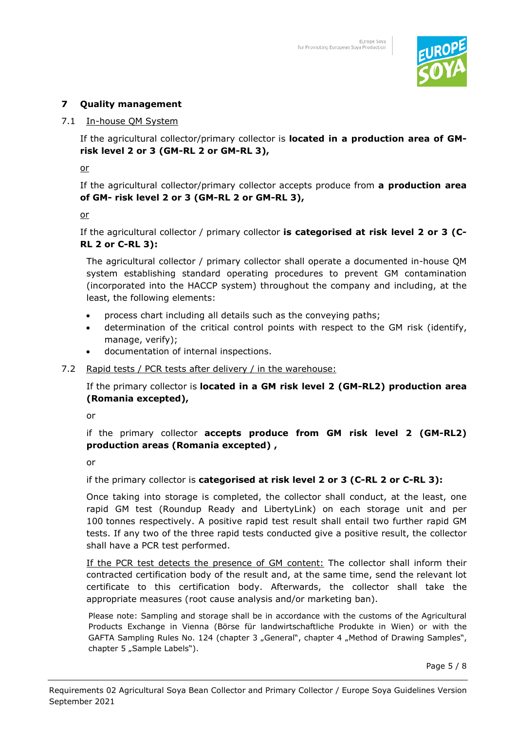

## **7 Quality management**

#### 7.1 In-house QM System

If the agricultural collector/primary collector is **located in a production area of GMrisk level 2 or 3 (GM-RL 2 or GM-RL 3),**

or

If the agricultural collector/primary collector accepts produce from **a production area of GM- risk level 2 or 3 (GM-RL 2 or GM-RL 3),**

or

If the agricultural collector / primary collector **is categorised at risk level 2 or 3 (C-RL 2 or C-RL 3):**

The agricultural collector / primary collector shall operate a documented in-house QM system establishing standard operating procedures to prevent GM contamination (incorporated into the HACCP system) throughout the company and including, at the least, the following elements:

- process chart including all details such as the conveying paths;
- determination of the critical control points with respect to the GM risk (identify, manage, verify);
- documentation of internal inspections.

#### 7.2 Rapid tests / PCR tests after delivery / in the warehouse:

If the primary collector is **located in a GM risk level 2 (GM-RL2) production area (Romania excepted),**

or

if the primary collector **accepts produce from GM risk level 2 (GM-RL2) production areas (Romania excepted) ,** 

or

if the primary collector is **categorised at risk level 2 or 3 (C-RL 2 or C-RL 3):**

Once taking into storage is completed, the collector shall conduct, at the least, one rapid GM test (Roundup Ready and LibertyLink) on each storage unit and per 100 tonnes respectively. A positive rapid test result shall entail two further rapid GM tests. If any two of the three rapid tests conducted give a positive result, the collector shall have a PCR test performed.

If the PCR test detects the presence of GM content: The collector shall inform their contracted certification body of the result and, at the same time, send the relevant lot certificate to this certification body. Afterwards, the collector shall take the appropriate measures (root cause analysis and/or marketing ban).

Please note: Sampling and storage shall be in accordance with the customs of the Agricultural Products Exchange in Vienna (Börse für landwirtschaftliche Produkte in Wien) or with the GAFTA Sampling Rules No. 124 (chapter 3 "General", chapter 4 "Method of Drawing Samples", chapter 5 "Sample Labels").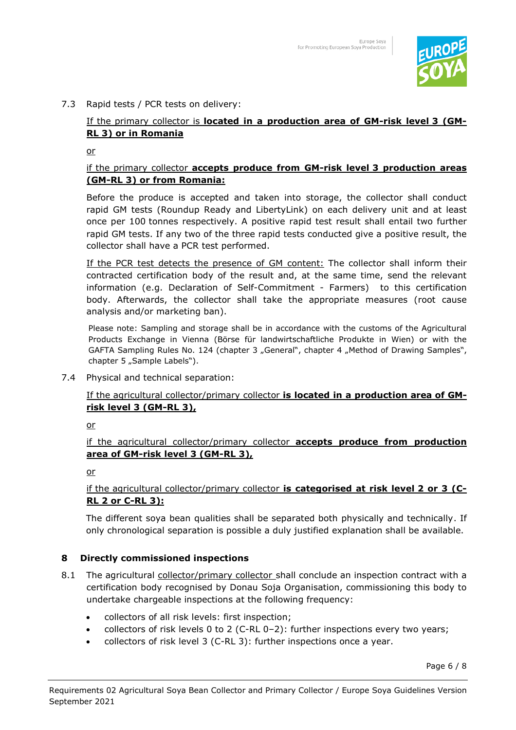

#### 7.3 Rapid tests / PCR tests on delivery:

## If the primary collector is **located in a production area of GM-risk level 3 (GM-RL 3) or in Romania**

or

#### if the primary collector **accepts produce from GM-risk level 3 production areas (GM-RL 3) or from Romania:**

Before the produce is accepted and taken into storage, the collector shall conduct rapid GM tests (Roundup Ready and LibertyLink) on each delivery unit and at least once per 100 tonnes respectively. A positive rapid test result shall entail two further rapid GM tests. If any two of the three rapid tests conducted give a positive result, the collector shall have a PCR test performed.

If the PCR test detects the presence of GM content: The collector shall inform their contracted certification body of the result and, at the same time, send the relevant information (e.g. Declaration of Self-Commitment - Farmers) to this certification body. Afterwards, the collector shall take the appropriate measures (root cause analysis and/or marketing ban).

Please note: Sampling and storage shall be in accordance with the customs of the Agricultural Products Exchange in Vienna (Börse für landwirtschaftliche Produkte in Wien) or with the GAFTA Sampling Rules No. 124 (chapter 3 "General", chapter 4 "Method of Drawing Samples", chapter 5 "Sample Labels").

7.4 Physical and technical separation:

### If the agricultural collector/primary collector **is located in a production area of GMrisk level 3 (GM-RL 3),**

or

if the agricultural collector/primary collector **accepts produce from production area of GM-risk level 3 (GM-RL 3),** 

or

## if the agricultural collector/primary collector **is categorised at risk level 2 or 3 (C-RL 2 or C-RL 3):**

The different soya bean qualities shall be separated both physically and technically. If only chronological separation is possible a duly justified explanation shall be available.

#### **8 Directly commissioned inspections**

- 8.1 The agricultural collector/primary collector shall conclude an inspection contract with a certification body recognised by Donau Soja Organisation, commissioning this body to undertake chargeable inspections at the following frequency:
	- collectors of all risk levels: first inspection;
	- collectors of risk levels 0 to 2 (C-RL  $0-2$ ): further inspections every two years;
	- collectors of risk level 3 (C-RL 3): further inspections once a year.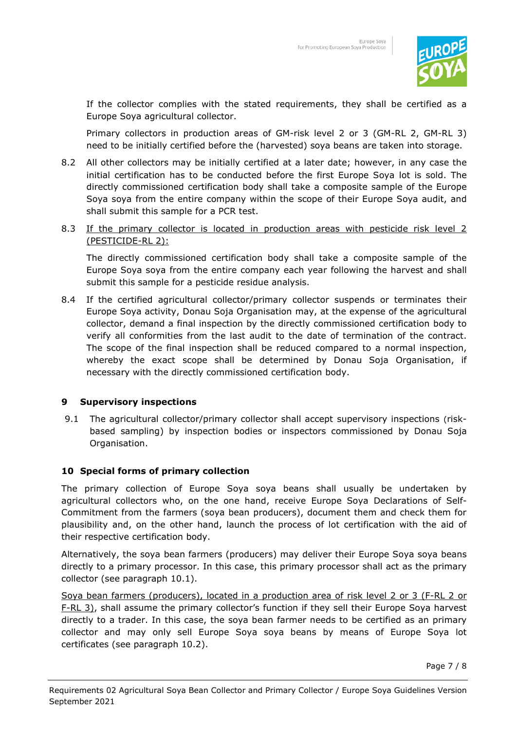

If the collector complies with the stated requirements, they shall be certified as a Europe Soya agricultural collector.

Primary collectors in production areas of GM-risk level 2 or 3 (GM-RL 2, GM-RL 3) need to be initially certified before the (harvested) soya beans are taken into storage.

- 8.2 All other collectors may be initially certified at a later date; however, in any case the initial certification has to be conducted before the first Europe Soya lot is sold. The directly commissioned certification body shall take a composite sample of the Europe Soya soya from the entire company within the scope of their Europe Soya audit, and shall submit this sample for a PCR test.
- 8.3 If the primary collector is located in production areas with pesticide risk level 2 (PESTICIDE-RL 2):

The directly commissioned certification body shall take a composite sample of the Europe Soya soya from the entire company each year following the harvest and shall submit this sample for a pesticide residue analysis.

8.4 If the certified agricultural collector/primary collector suspends or terminates their Europe Soya activity, Donau Soja Organisation may, at the expense of the agricultural collector, demand a final inspection by the directly commissioned certification body to verify all conformities from the last audit to the date of termination of the contract. The scope of the final inspection shall be reduced compared to a normal inspection, whereby the exact scope shall be determined by Donau Soja Organisation, if necessary with the directly commissioned certification body.

#### **9 Supervisory inspections**

9.1 The agricultural collector/primary collector shall accept supervisory inspections (riskbased sampling) by inspection bodies or inspectors commissioned by Donau Soja Organisation.

#### **10 Special forms of primary collection**

The primary collection of Europe Soya soya beans shall usually be undertaken by agricultural collectors who, on the one hand, receive Europe Soya Declarations of Self-Commitment from the farmers (soya bean producers), document them and check them for plausibility and, on the other hand, launch the process of lot certification with the aid of their respective certification body.

Alternatively, the soya bean farmers (producers) may deliver their Europe Soya soya beans directly to a primary processor. In this case, this primary processor shall act as the primary collector (see paragraph 10.1).

Soya bean farmers (producers), located in a production area of risk level 2 or 3 (F-RL 2 or F-RL 3), shall assume the primary collector's function if they sell their Europe Soya harvest directly to a trader. In this case, the soya bean farmer needs to be certified as an primary collector and may only sell Europe Soya soya beans by means of Europe Soya lot certificates (see paragraph 10.2).